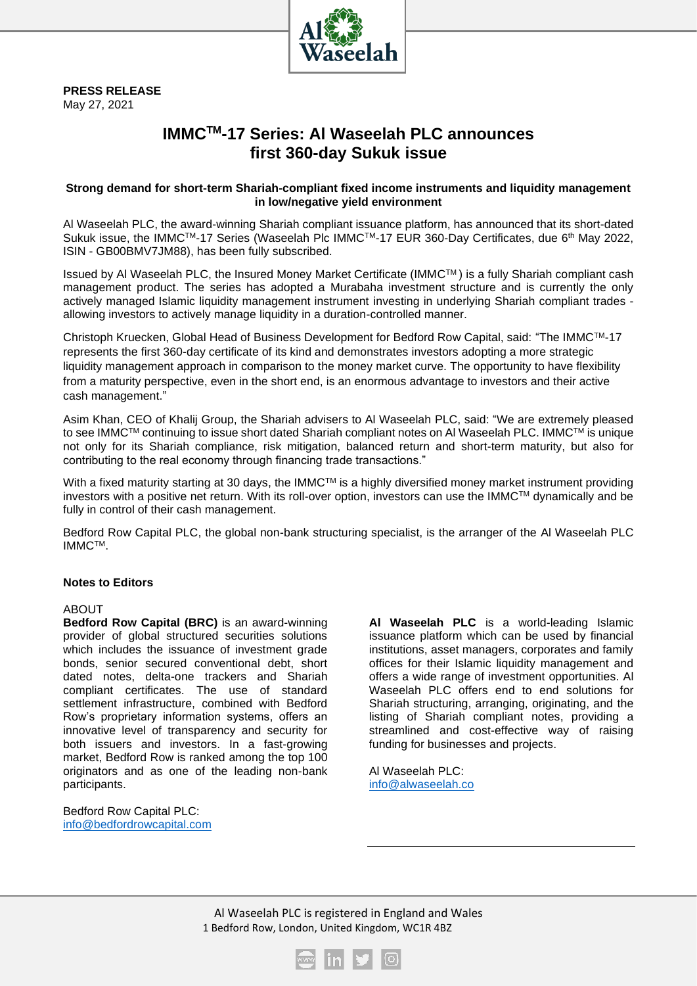

**PRESS RELEASE** May 27, 2021

## **IMMCTM-17 Series: Al Waseelah PLC announces first 360-day Sukuk issue**

## **Strong demand for short-term Shariah-compliant fixed income instruments and liquidity management in low/negative yield environment**

Al Waseelah PLC, the award-winning Shariah compliant issuance platform, has announced that its short-dated Sukuk issue, the IMMC™-17 Series (Waseelah Plc IMMC™-17 EUR 360-Day Certificates, due 6<sup>th</sup> May 2022, ISIN - GB00BMV7JM88), has been fully subscribed.

Issued by Al Waseelah PLC, the Insured Money Market Certificate (IMMCTM ) is a fully Shariah compliant cash management product. The series has adopted a Murabaha investment structure and is currently the only actively managed Islamic liquidity management instrument investing in underlying Shariah compliant trades allowing investors to actively manage liquidity in a duration-controlled manner.

Christoph Kruecken, Global Head of Business Development for Bedford Row Capital, said: "The IMMCTM-17 represents the first 360-day certificate of its kind and demonstrates investors adopting a more strategic liquidity management approach in comparison to the money market curve. The opportunity to have flexibility from a maturity perspective, even in the short end, is an enormous advantage to investors and their active cash management."

Asim Khan, CEO of Khalij Group, the Shariah advisers to Al Waseelah PLC, said: "We are extremely pleased to see IMMC™ continuing to issue short dated Shariah compliant notes on AI Waseelah PLC. IMMC™ is unique not only for its Shariah compliance, risk mitigation, balanced return and short-term maturity, but also for contributing to the real economy through financing trade transactions."

With a fixed maturity starting at 30 days, the IMMC<sup>TM</sup> is a highly diversified money market instrument providing investors with a positive net return. With its roll-over option, investors can use the IMMCTM dynamically and be fully in control of their cash management.

Bedford Row Capital PLC, the global non-bank structuring specialist, is the arranger of the Al Waseelah PLC IMMCTM.

## **Notes to Editors**

## ABOUT

**Bedford Row Capital (BRC)** is an award-winning provider of global structured securities solutions which includes the issuance of investment grade bonds, senior secured conventional debt, short dated notes, delta-one trackers and Shariah compliant certificates. The use of standard settlement infrastructure, combined with Bedford Row's proprietary information systems, offers an innovative level of transparency and security for both issuers and investors. In a fast-growing market, Bedford Row is ranked among the top 100 originators and as one of the leading non-bank participants.

Bedford Row Capital PLC: [info@bedfordrowcapital.com](mailto:info@bedfordrowcapital.com) **Al Waseelah PLC** is a world-leading Islamic issuance platform which can be used by financial institutions, asset managers, corporates and family offices for their Islamic liquidity management and offers a wide range of investment opportunities. Al Waseelah PLC offers end to end solutions for Shariah structuring, arranging, originating, and the listing of Shariah compliant notes, providing a streamlined and cost-effective way of raising funding for businesses and projects.

Al Waseelah PLC: [info@alwaseelah.co](mailto:info@alwaseelah.co)

Al Waseelah PLC is registered in England and Wales 1 Bedford Row, London, United Kingdom, WC1R 4BZ